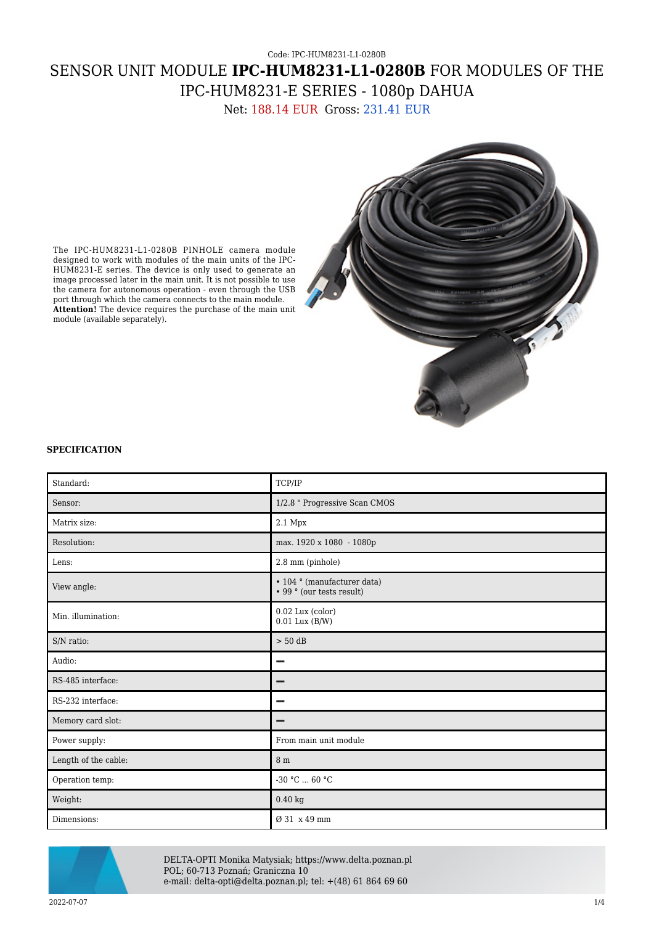# Code: IPC-HUM8231-L1-0280B SENSOR UNIT MODULE **IPC-HUM8231-L1-0280B** FOR MODULES OF THE IPC-HUM8231-E SERIES - 1080p DAHUA

Net: 188.14 EUR Gross: 231.41 EUR



The IPC-HUM8231-L1-0280B PINHOLE camera module designed to work with modules of the main units of the IPC-HUM8231-E series. The device is only used to generate an image processed later in the main unit. It is not possible to use the camera for autonomous operation - even through the USB port through which the camera connects to the main module. **Attention!** The device requires the purchase of the main unit module (available separately).

### **SPECIFICATION**

| Standard:            | TCP/IP                                                   |
|----------------------|----------------------------------------------------------|
| Sensor:              | 1/2.8 " Progressive Scan CMOS                            |
| Matrix size:         | 2.1 Mpx                                                  |
| Resolution:          | max. 1920 x 1080 - 1080p                                 |
| Lens:                | 2.8 mm (pinhole)                                         |
| View angle:          | • 104 ° (manufacturer data)<br>• 99 ° (our tests result) |
| Min. illumination:   | 0.02 Lux (color)<br>$0.01$ Lux $(B/W)$                   |
| S/N ratio:           | $> 50$ dB                                                |
| Audio:               | -                                                        |
| RS-485 interface:    | -                                                        |
| RS-232 interface:    | -                                                        |
| Memory card slot:    | -                                                        |
| Power supply:        | From main unit module                                    |
| Length of the cable: | 8 m                                                      |
| Operation temp:      | -30 °C $\ldots$ 60 °C                                    |
| Weight:              | $0.40\;\mathrm{kg}$                                      |
| Dimensions:          | Ø 31 x 49 mm                                             |



DELTA-OPTI Monika Matysiak; https://www.delta.poznan.pl POL; 60-713 Poznań; Graniczna 10 e-mail: delta-opti@delta.poznan.pl; tel: +(48) 61 864 69 60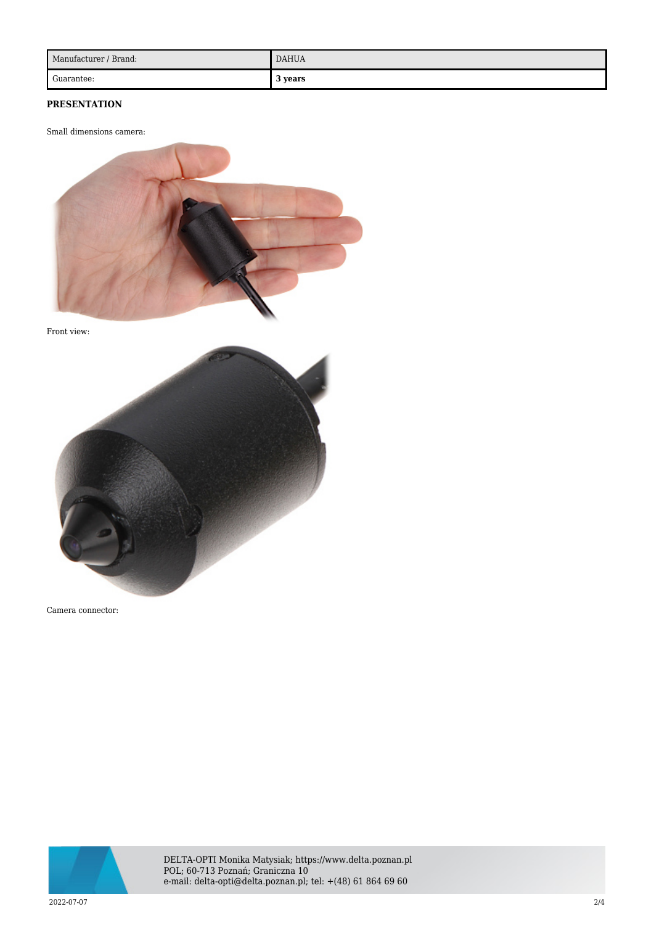| Manufacturer / Brand: | <b>DAHUA</b> |
|-----------------------|--------------|
| Guarantee:            | 3 years      |

## **PRESENTATION**

Small dimensions camera:



Front view:



Camera connector:



DELTA-OPTI Monika Matysiak; https://www.delta.poznan.pl POL; 60-713 Poznań; Graniczna 10 e-mail: delta-opti@delta.poznan.pl; tel: +(48) 61 864 69 60

2022-07-07 2/4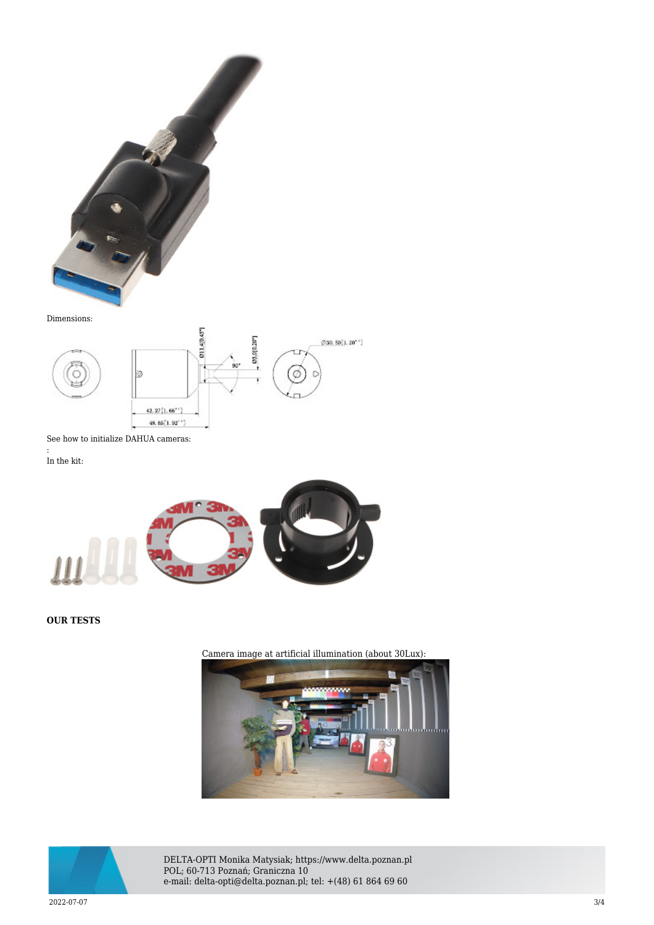

#### Dimensions:



See how to initialize DAHUA cameras: :

In the kit:



### **OUR TESTS**







DELTA-OPTI Monika Matysiak; https://www.delta.poznan.pl POL; 60-713 Poznań; Graniczna 10 e-mail: delta-opti@delta.poznan.pl; tel: +(48) 61 864 69 60

2022-07-07 3/4